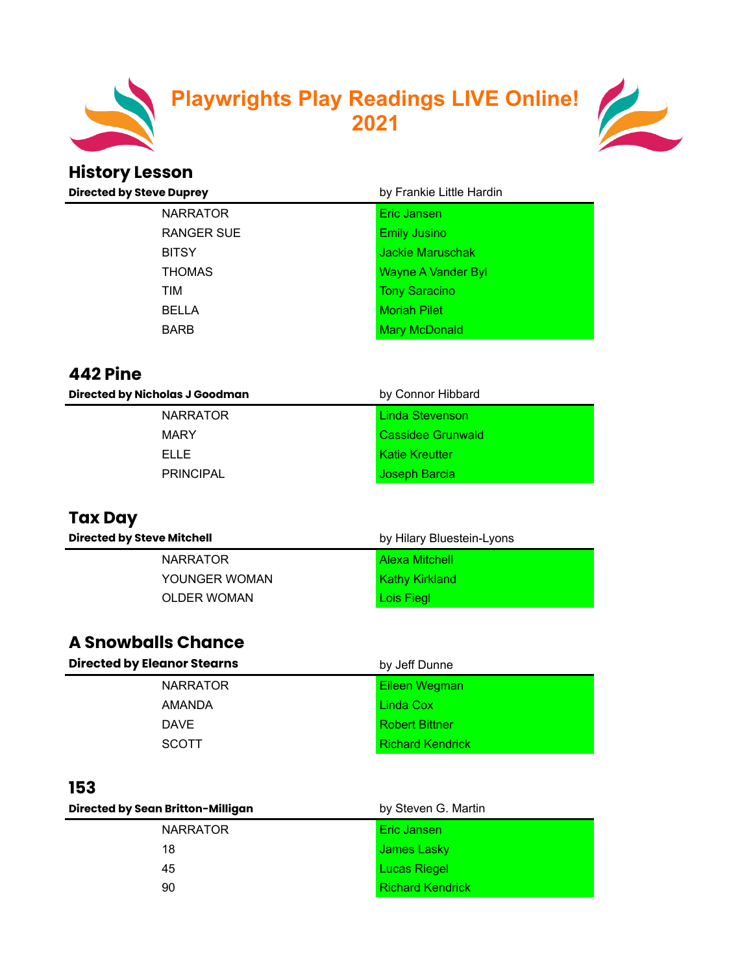

#### **Playwrights Play Readings LIVE Online! 2021**



## **History Lesson**

| <b>Directed by Steve Duprey</b> | by Frankie Little Hardin |  |
|---------------------------------|--------------------------|--|
| <b>NARRATOR</b>                 | Eric Jansen              |  |
| RANGER SUE                      | <b>Emily Jusino</b>      |  |
| <b>BITSY</b>                    | <b>Jackie Maruschak</b>  |  |
| <b>THOMAS</b>                   | Wayne A Vander Byl       |  |
| TIM                             | <b>Tony Saracino</b>     |  |
| <b>BELLA</b>                    | <b>Moriah Pilet</b>      |  |
| <b>BARB</b>                     | <b>Mary McDonald</b>     |  |

#### **442 Pine**

| <b>Directed by Nicholas J Goodman</b> | by Connor Hibbard     |
|---------------------------------------|-----------------------|
| <b>NARRATOR</b>                       | Linda Stevenson       |
| <b>MARY</b>                           | Cassidee Grunwald     |
| FLL F                                 | <b>Katie Kreutter</b> |
| <b>PRINCIPAL</b>                      | Joseph Barcia         |

#### **Tax Day**

| <b>Directed by Steve Mitchell</b> | by Hilary Bluestein-Lyons |
|-----------------------------------|---------------------------|
| <b>NARRATOR</b>                   | <b>Alexa Mitchell</b>     |
| YOUNGER WOMAN                     | <b>Kathy Kirkland</b>     |
| <b>OLDER WOMAN</b>                | Lois Fiegl                |

#### **A Snowballs Chance**

| <b>Directed by Eleanor Stearns</b> | by Jeff Dunne           |
|------------------------------------|-------------------------|
| <b>NARRATOR</b>                    | Eileen Wegman           |
| AMANDA                             | Linda Cox               |
| <b>DAVE</b>                        | <b>Robert Bittner</b>   |
| <b>SCOTT</b>                       | <b>Richard Kendrick</b> |

#### **153**

| Directed by Sean Britton-Milligan | by Steven G. Martin     |
|-----------------------------------|-------------------------|
| <b>NARRATOR</b>                   | Eric Jansen             |
| 18                                | James Lasky             |
| 45                                | <b>Lucas Riegel</b>     |
| 90                                | <b>Richard Kendrick</b> |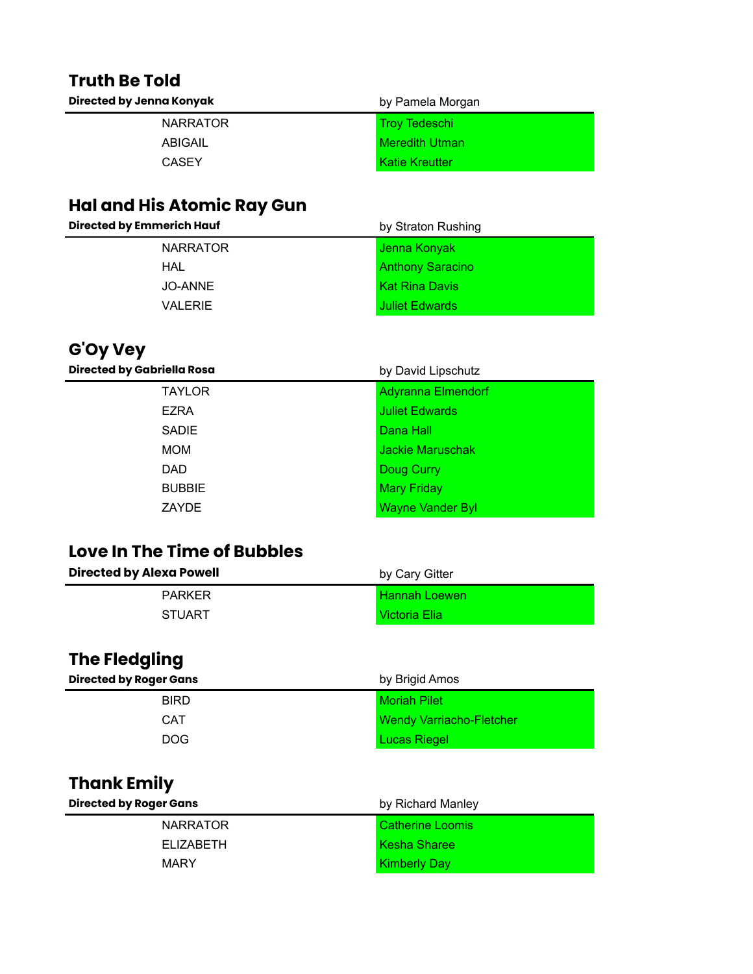# **Truth Be Told**

| Directed by Jenna Konyak | by Pamela Morgan      |
|--------------------------|-----------------------|
| <b>NARRATOR</b>          | <b>Troy Tedeschi</b>  |
| ABIGAIL                  | <b>Meredith Utman</b> |
| CASEY                    | <b>Katie Kreutter</b> |

#### **Hal and His Atomic Ray Gun**

#### **G'Oy Vey**

| <b>Directed by Gabriella Rosa</b> | by David Lipschutz        |
|-----------------------------------|---------------------------|
| <b>TAYLOR</b>                     | <b>Adyranna Elmendorf</b> |
| <b>EZRA</b>                       | <b>Juliet Edwards</b>     |
| <b>SADIE</b>                      | Dana Hall                 |
| <b>MOM</b>                        | Jackie Maruschak          |
| <b>DAD</b>                        | Doug Curry                |
| <b>BUBBIE</b>                     | <b>Mary Friday</b>        |
| <b>ZAYDE</b>                      | <b>Wayne Vander Byl</b>   |
|                                   |                           |

#### **Love In The Time of Bubbles**

| <b>Directed by Alexa Powell</b> | by Cary Gitter       |
|---------------------------------|----------------------|
| <b>PARKER</b>                   | <b>Hannah Loewen</b> |
| <b>STUART</b>                   | Victoria Elia        |

#### **The Fledgling**

| <b>Directed by Roger Gans</b> | by Brigid Amos                  |
|-------------------------------|---------------------------------|
| <b>BIRD</b>                   | <b>Moriah Pilet</b>             |
| CAT                           | <b>Wendy Varriacho-Fletcher</b> |
| DOG.                          | <b>Lucas Riegel</b>             |

#### **Thank Emily**

| <b>Directed by Roger Gans</b> | by Richard Manley   |
|-------------------------------|---------------------|
| <b>NARRATOR</b>               | Catherine Loomis    |
| FI IZABETH                    | <b>Kesha Sharee</b> |
| <b>MARY</b>                   | <b>Kimberly Day</b> |